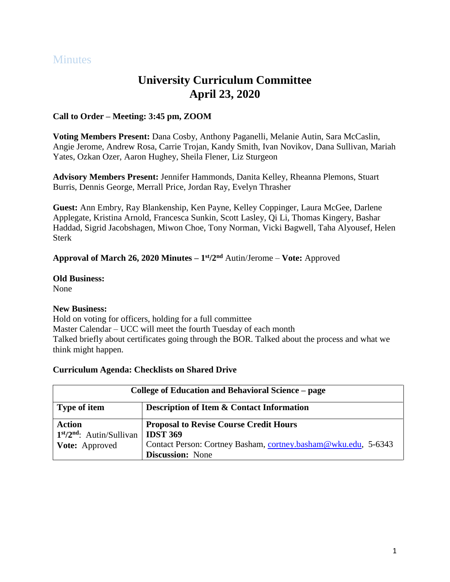# **Minutes**

# **University Curriculum Committee April 23, 2020**

### **Call to Order – Meeting: 3:45 pm, ZOOM**

**Voting Members Present:** Dana Cosby, Anthony Paganelli, Melanie Autin, Sara McCaslin, Angie Jerome, Andrew Rosa, Carrie Trojan, Kandy Smith, Ivan Novikov, Dana Sullivan, Mariah Yates, Ozkan Ozer, Aaron Hughey, Sheila Flener, Liz Sturgeon

**Advisory Members Present:** Jennifer Hammonds, Danita Kelley, Rheanna Plemons, Stuart Burris, Dennis George, Merrall Price, Jordan Ray, Evelyn Thrasher

**Guest:** Ann Embry, Ray Blankenship, Ken Payne, Kelley Coppinger, Laura McGee, Darlene Applegate, Kristina Arnold, Francesca Sunkin, Scott Lasley, Qi Li, Thomas Kingery, Bashar Haddad, Sigrid Jacobshagen, Miwon Choe, Tony Norman, Vicki Bagwell, Taha Alyousef, Helen Sterk

#### **Approval of March 26, 2020 Minutes – 1 st/2 nd** Autin/Jerome – **Vote:** Approved

**Old Business:** 

None

#### **New Business:**

Hold on voting for officers, holding for a full committee Master Calendar – UCC will meet the fourth Tuesday of each month Talked briefly about certificates going through the BOR. Talked about the process and what we think might happen.

#### **Curriculum Agenda: Checklists on Shared Drive**

| College of Education and Behavioral Science – page |                                                                |
|----------------------------------------------------|----------------------------------------------------------------|
| <b>Type of item</b>                                | <b>Description of Item &amp; Contact Information</b>           |
| <b>Action</b>                                      | <b>Proposal to Revise Course Credit Hours</b>                  |
| $1st/2nd$ : Autin/Sullivan                         | <b>IDST 369</b>                                                |
| Vote: Approved                                     | Contact Person: Cortney Basham, cortney.basham@wku.edu, 5-6343 |
|                                                    | <b>Discussion:</b> None                                        |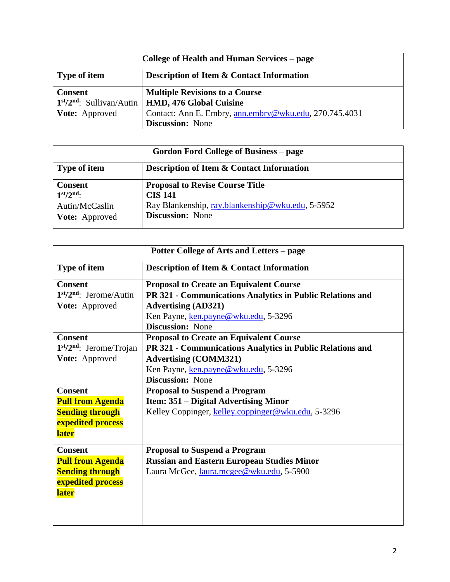| College of Health and Human Services – page |                                                        |
|---------------------------------------------|--------------------------------------------------------|
| <b>Type of item</b>                         | <b>Description of Item &amp; Contact Information</b>   |
| <b>Consent</b>                              | <b>Multiple Revisions to a Course</b>                  |
|                                             | $1st/2nd$ : Sullivan/Autin   HMD, 476 Global Cuisine   |
| <b>Vote:</b> Approved                       | Contact: Ann E. Embry, ann.embry@wku.edu, 270.745.4031 |
|                                             | <b>Discussion:</b> None                                |

| Gordon Ford College of Business – page                            |                                                                                                                                         |
|-------------------------------------------------------------------|-----------------------------------------------------------------------------------------------------------------------------------------|
| <b>Type of item</b>                                               | <b>Description of Item &amp; Contact Information</b>                                                                                    |
| <b>Consent</b><br>$1st/2nd$ :<br>Autin/McCaslin<br>Vote: Approved | <b>Proposal to Revise Course Title</b><br><b>CIS 141</b><br>Ray Blankenship, ray.blankenship@wku.edu, 5-5952<br><b>Discussion:</b> None |

| Potter College of Arts and Letters – page |                                                           |
|-------------------------------------------|-----------------------------------------------------------|
| Type of item                              | <b>Description of Item &amp; Contact Information</b>      |
| <b>Consent</b>                            | <b>Proposal to Create an Equivalent Course</b>            |
| $1st/2nd$ : Jerome/Autin                  | PR 321 - Communications Analytics in Public Relations and |
| Vote: Approved                            | <b>Advertising (AD321)</b>                                |
|                                           | Ken Payne, ken.payne@wku.edu, 5-3296                      |
|                                           | <b>Discussion:</b> None                                   |
| <b>Consent</b>                            | <b>Proposal to Create an Equivalent Course</b>            |
| $1st/2nd$ : Jerome/Trojan                 | PR 321 - Communications Analytics in Public Relations and |
| Vote: Approved                            | <b>Advertising (COMM321)</b>                              |
|                                           | Ken Payne, ken.payne@wku.edu, 5-3296                      |
|                                           | <b>Discussion:</b> None                                   |
| <b>Consent</b>                            | <b>Proposal to Suspend a Program</b>                      |
| <b>Pull from Agenda</b>                   | Item: 351 – Digital Advertising Minor                     |
| <b>Sending through</b>                    | Kelley Coppinger, kelley.coppinger@wku.edu, 5-3296        |
| expedited process                         |                                                           |
| <b>later</b>                              |                                                           |
| <b>Consent</b>                            | <b>Proposal to Suspend a Program</b>                      |
| <b>Pull from Agenda</b>                   | <b>Russian and Eastern European Studies Minor</b>         |
| <b>Sending through</b>                    | Laura McGee, laura.mcgee@wku.edu, 5-5900                  |
| expedited process                         |                                                           |
| <b>later</b>                              |                                                           |
|                                           |                                                           |
|                                           |                                                           |
|                                           |                                                           |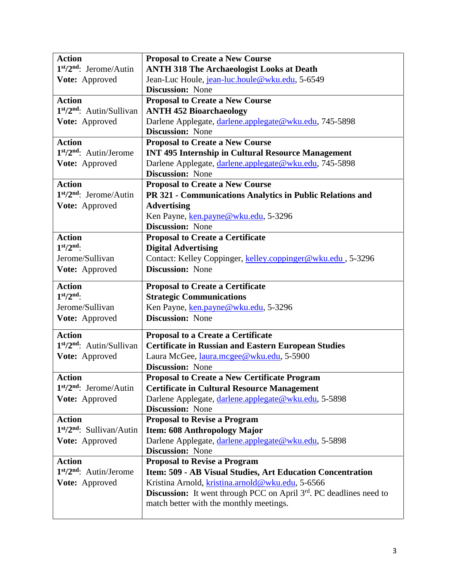| <b>Action</b>              | <b>Proposal to Create a New Course</b>                                       |
|----------------------------|------------------------------------------------------------------------------|
| 1st/2nd: Jerome/Autin      | <b>ANTH 318 The Archaeologist Looks at Death</b>                             |
| Vote: Approved             | Jean-Luc Houle, jean-luc.houle@wku.edu, 5-6549                               |
|                            | <b>Discussion:</b> None                                                      |
| <b>Action</b>              | <b>Proposal to Create a New Course</b>                                       |
| $1st/2nd$ : Autin/Sullivan | <b>ANTH 452 Bioarchaeology</b>                                               |
| Vote: Approved             | Darlene Applegate, darlene.applegate@wku.edu, 745-5898                       |
|                            | <b>Discussion:</b> None                                                      |
| <b>Action</b>              | <b>Proposal to Create a New Course</b>                                       |
| $1st/2nd$ : Autin/Jerome   | <b>INT 495 Internship in Cultural Resource Management</b>                    |
| Vote: Approved             | Darlene Applegate, darlene.applegate@wku.edu, 745-5898                       |
|                            | <b>Discussion:</b> None                                                      |
| <b>Action</b>              | <b>Proposal to Create a New Course</b>                                       |
| $1st/2nd$ : Jerome/Autin   | PR 321 - Communications Analytics in Public Relations and                    |
| Vote: Approved             | <b>Advertising</b>                                                           |
|                            | Ken Payne, ken.payne@wku.edu, 5-3296                                         |
|                            | <b>Discussion:</b> None                                                      |
| <b>Action</b>              | <b>Proposal to Create a Certificate</b>                                      |
| $1st/2nd$ :                | <b>Digital Advertising</b>                                                   |
| Jerome/Sullivan            | Contact: Kelley Coppinger, kelley.coppinger@wku.edu, 5-3296                  |
| Vote: Approved             | <b>Discussion:</b> None                                                      |
|                            |                                                                              |
| <b>Action</b>              | <b>Proposal to Create a Certificate</b>                                      |
| $1st/2nd$ :                | <b>Strategic Communications</b>                                              |
| Jerome/Sullivan            | Ken Payne, ken.payne@wku.edu, 5-3296                                         |
| Vote: Approved             | <b>Discussion: None</b>                                                      |
| <b>Action</b>              | Proposal to a Create a Certificate                                           |
| $1st/2nd$ : Autin/Sullivan | <b>Certificate in Russian and Eastern European Studies</b>                   |
| Vote: Approved             | Laura McGee, laura.mcgee@wku.edu, 5-5900                                     |
|                            | <b>Discussion:</b> None                                                      |
| <b>Action</b>              | <b>Proposal to Create a New Certificate Program</b>                          |
| $1st/2nd$ : Jerome/Autin   | <b>Certificate in Cultural Resource Management</b>                           |
| Vote: Approved             | Darlene Applegate, darlene.applegate@wku.edu, 5-5898                         |
|                            | <b>Discussion:</b> None                                                      |
| <b>Action</b>              | <b>Proposal to Revise a Program</b>                                          |
| $1st/2nd$ : Sullivan/Autin | Item: 608 Anthropology Major                                                 |
| Vote: Approved             | Darlene Applegate, darlene.applegate@wku.edu, 5-5898                         |
|                            | <b>Discussion:</b> None                                                      |
| <b>Action</b>              | <b>Proposal to Revise a Program</b>                                          |
| 1st/2nd: Autin/Jerome      | Item: 509 - AB Visual Studies, Art Education Concentration                   |
| Vote: Approved             | Kristina Arnold, kristina.arnold@wku.edu, 5-6566                             |
|                            | <b>Discussion:</b> It went through PCC on April $3rd$ . PC deadlines need to |
|                            | match better with the monthly meetings.                                      |
|                            |                                                                              |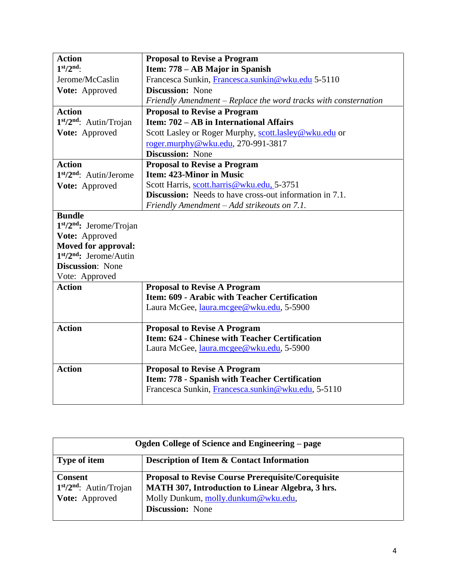| <b>Action</b>                                   | <b>Proposal to Revise a Program</b>                             |
|-------------------------------------------------|-----------------------------------------------------------------|
| $1st/2nd$ :                                     | Item: 778 – AB Major in Spanish                                 |
| Jerome/McCaslin                                 | Francesca Sunkin, Francesca.sunkin@wku.edu 5-5110               |
| Vote: Approved                                  | <b>Discussion:</b> None                                         |
|                                                 | Friendly Amendment – Replace the word tracks with consternation |
| <b>Action</b>                                   | <b>Proposal to Revise a Program</b>                             |
| 1 <sup>st</sup> /2 <sup>nd</sup> : Autin/Trojan | Item: 702 – AB in International Affairs                         |
| Vote: Approved                                  | Scott Lasley or Roger Murphy, scott.lasley@wku.edu or           |
|                                                 | roger.murphy@wku.edu, 270-991-3817                              |
|                                                 | <b>Discussion: None</b>                                         |
| <b>Action</b>                                   | <b>Proposal to Revise a Program</b>                             |
| 1st/2nd: Autin/Jerome                           | <b>Item: 423-Minor in Music</b>                                 |
| Vote: Approved                                  | Scott Harris, scott.harris@wku.edu, 5-3751                      |
|                                                 | <b>Discussion:</b> Needs to have cross-out information in 7.1.  |
|                                                 | Friendly Amendment - Add strikeouts on 7.1.                     |
| <b>Bundle</b>                                   |                                                                 |
| $1st/2nd$ : Jerome/Trojan                       |                                                                 |
| Vote: Approved                                  |                                                                 |
| Moved for approval:                             |                                                                 |
| $1st/2nd$ : Jerome/Autin                        |                                                                 |
| <b>Discussion:</b> None                         |                                                                 |
| Vote: Approved                                  |                                                                 |
| <b>Action</b>                                   | <b>Proposal to Revise A Program</b>                             |
|                                                 | Item: 609 - Arabic with Teacher Certification                   |
|                                                 | Laura McGee, laura.mcgee@wku.edu, 5-5900                        |
| <b>Action</b>                                   | <b>Proposal to Revise A Program</b>                             |
|                                                 | Item: 624 - Chinese with Teacher Certification                  |
|                                                 | Laura McGee, laura.mcgee@wku.edu, 5-5900                        |
|                                                 |                                                                 |
| <b>Action</b>                                   | <b>Proposal to Revise A Program</b>                             |
|                                                 | Item: 778 - Spanish with Teacher Certification                  |
|                                                 | Francesca Sunkin, Francesca.sunkin@wku.edu, 5-5110              |
|                                                 |                                                                 |

| Ogden College of Science and Engineering – page |                                                           |
|-------------------------------------------------|-----------------------------------------------------------|
| <b>Type of item</b>                             | Description of Item & Contact Information                 |
| <b>Consent</b>                                  | <b>Proposal to Revise Course Prerequisite/Corequisite</b> |
| $1st/2nd$ : Autin/Trojan                        | <b>MATH 307, Introduction to Linear Algebra, 3 hrs.</b>   |
| <b>Vote:</b> Approved                           | Molly Dunkum, molly.dunkum@wku.edu,                       |
|                                                 | <b>Discussion:</b> None                                   |